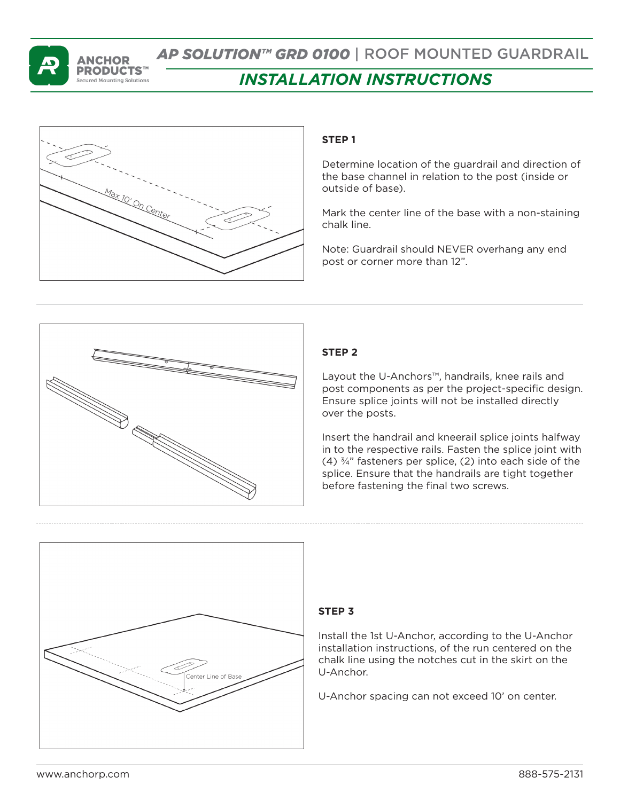

# *AP SOLUTION™ GRD 0100* | ROOF MOUNTED GUARDRAIL *INSTALLATION INSTRUCTIONS*

# **STEP 1**

Determine location of the guardrail and direction of the base channel in relation to the post (inside or outside of base).

Mark the center line of the base with a non-staining chalk line.

Note: Guardrail should NEVER overhang any end post or corner more than 12".



# **STEP 2**

Layout the U-Anchors™, handrails, knee rails and post components as per the project-specific design. Ensure splice joints will not be installed directly over the posts.

Insert the handrail and kneerail splice joints halfway in to the respective rails. Fasten the splice joint with (4)  $\frac{3}{4}$ " fasteners per splice, (2) into each side of the splice. Ensure that the handrails are tight together before fastening the final two screws.



## **STEP 3**

Install the 1st U-Anchor, according to the U-Anchor installation instructions, of the run centered on the chalk line using the notches cut in the skirt on the U-Anchor.

U-Anchor spacing can not exceed 10' on center.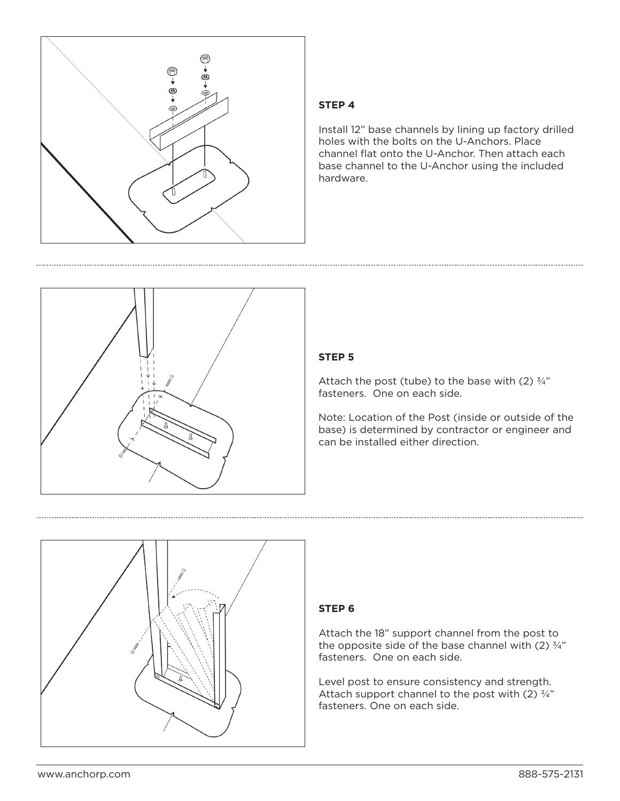

#### **STEP 4**

Install 12" base channels by lining up factory drilled holes with the bolts on the U-Anchors. Place channel flat onto the U-Anchor. Then attach each base channel to the U-Anchor using the included hardware.



### **STEP 5**

Attach the post (tube) to the base with (2)  $\frac{3}{4}$ " fasteners. One on each side.

Note: Location of the Post (inside or outside of the base) is determined by contractor or engineer and can be installed either direction.



#### **STEP 6**

Attach the 18" support channel from the post to the opposite side of the base channel with (2)  $\frac{3}{4}$ " fasteners. One on each side.

Level post to ensure consistency and strength. Attach support channel to the post with  $(2)$   $\frac{3}{4}$ " fasteners. One on each side.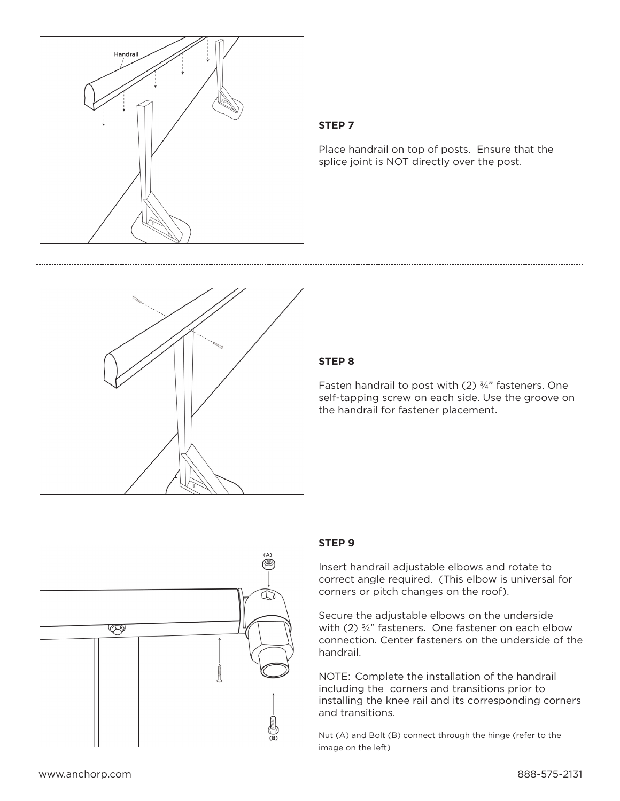

### **STEP 7**

Place handrail on top of posts. Ensure that the splice joint is NOT directly over the post.



#### **STEP 8**

Fasten handrail to post with (2) ¾" fasteners. One self-tapping screw on each side. Use the groove on the handrail for fastener placement.



#### **STEP 9**

Insert handrail adjustable elbows and rotate to correct angle required. (This elbow is universal for corners or pitch changes on the roof).

Secure the adjustable elbows on the underside with (2) 3/4" fasteners. One fastener on each elbow connection. Center fasteners on the underside of the handrail.

NOTE: Complete the installation of the handrail including the corners and transitions prior to installing the knee rail and its corresponding corners and transitions.

Nut (A) and Bolt (B) connect through the hinge (refer to the image on the left)